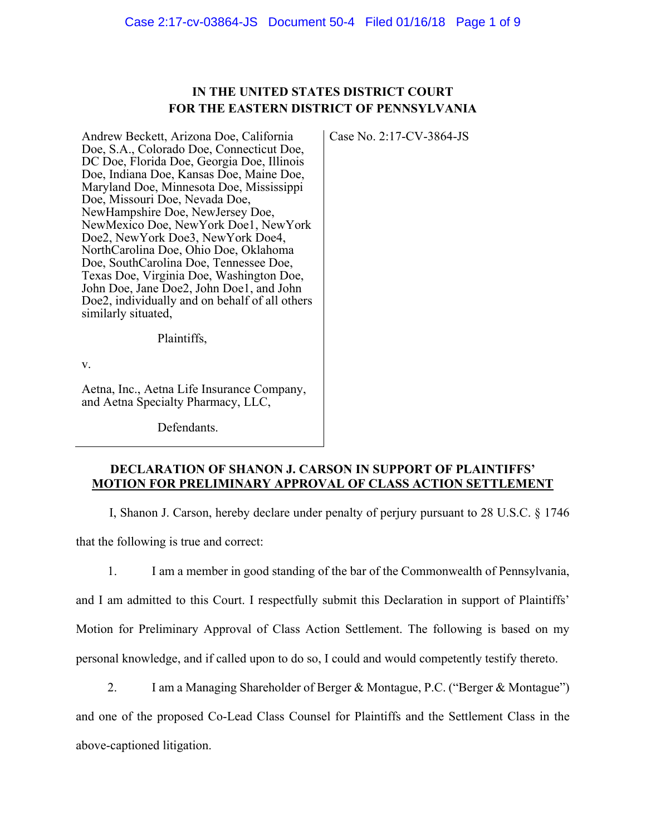# **IN THE UNITED STATES DISTRICT COURT FOR THE EASTERN DISTRICT OF PENNSYLVANIA**

Case No. 2:17-CV-3864-JS

Andrew Beckett, Arizona Doe, California Doe, S.A., Colorado Doe, Connecticut Doe, DC Doe, Florida Doe, Georgia Doe, Illinois Doe, Indiana Doe, Kansas Doe, Maine Doe, Maryland Doe, Minnesota Doe, Mississippi Doe, Missouri Doe, Nevada Doe, NewHampshire Doe, NewJersey Doe, NewMexico Doe, NewYork Doe1, NewYork Doe2, NewYork Doe3, NewYork Doe4, NorthCarolina Doe, Ohio Doe, Oklahoma Doe, SouthCarolina Doe, Tennessee Doe, Texas Doe, Virginia Doe, Washington Doe, John Doe, Jane Doe2, John Doe1, and John Doe2, individually and on behalf of all others similarly situated,

Plaintiffs,

v.

Aetna, Inc., Aetna Life Insurance Company, and Aetna Specialty Pharmacy, LLC,

Defendants.

## **DECLARATION OF SHANON J. CARSON IN SUPPORT OF PLAINTIFFS' MOTION FOR PRELIMINARY APPROVAL OF CLASS ACTION SETTLEMENT**

I, Shanon J. Carson, hereby declare under penalty of perjury pursuant to 28 U.S.C. § 1746

that the following is true and correct:

1. I am a member in good standing of the bar of the Commonwealth of Pennsylvania,

and I am admitted to this Court. I respectfully submit this Declaration in support of Plaintiffs' Motion for Preliminary Approval of Class Action Settlement. The following is based on my

personal knowledge, and if called upon to do so, I could and would competently testify thereto.

2. I am a Managing Shareholder of Berger & Montague, P.C. ("Berger & Montague")

and one of the proposed Co-Lead Class Counsel for Plaintiffs and the Settlement Class in the

above-captioned litigation.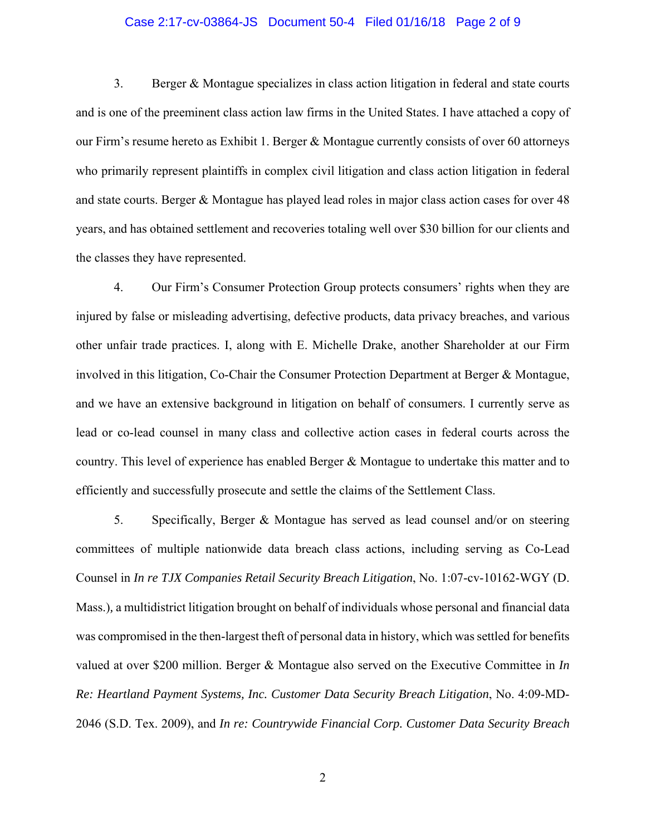#### Case 2:17-cv-03864-JS Document 50-4 Filed 01/16/18 Page 2 of 9

3. Berger & Montague specializes in class action litigation in federal and state courts and is one of the preeminent class action law firms in the United States. I have attached a copy of our Firm's resume hereto as Exhibit 1. Berger & Montague currently consists of over 60 attorneys who primarily represent plaintiffs in complex civil litigation and class action litigation in federal and state courts. Berger & Montague has played lead roles in major class action cases for over 48 years, and has obtained settlement and recoveries totaling well over \$30 billion for our clients and the classes they have represented.

4. Our Firm's Consumer Protection Group protects consumers' rights when they are injured by false or misleading advertising, defective products, data privacy breaches, and various other unfair trade practices. I, along with E. Michelle Drake, another Shareholder at our Firm involved in this litigation, Co-Chair the Consumer Protection Department at Berger & Montague, and we have an extensive background in litigation on behalf of consumers. I currently serve as lead or co-lead counsel in many class and collective action cases in federal courts across the country. This level of experience has enabled Berger & Montague to undertake this matter and to efficiently and successfully prosecute and settle the claims of the Settlement Class.

5. Specifically, Berger & Montague has served as lead counsel and/or on steering committees of multiple nationwide data breach class actions, including serving as Co-Lead Counsel in *In re TJX Companies Retail Security Breach Litigation*, No. 1:07-cv-10162-WGY (D. Mass.)*,* a multidistrict litigation brought on behalf of individuals whose personal and financial data was compromised in the then-largest theft of personal data in history, which was settled for benefits valued at over \$200 million. Berger & Montague also served on the Executive Committee in *In Re: Heartland Payment Systems, Inc. Customer Data Security Breach Litigation*, No. 4:09-MD-2046 (S.D. Tex. 2009), and *In re: Countrywide Financial Corp. Customer Data Security Breach*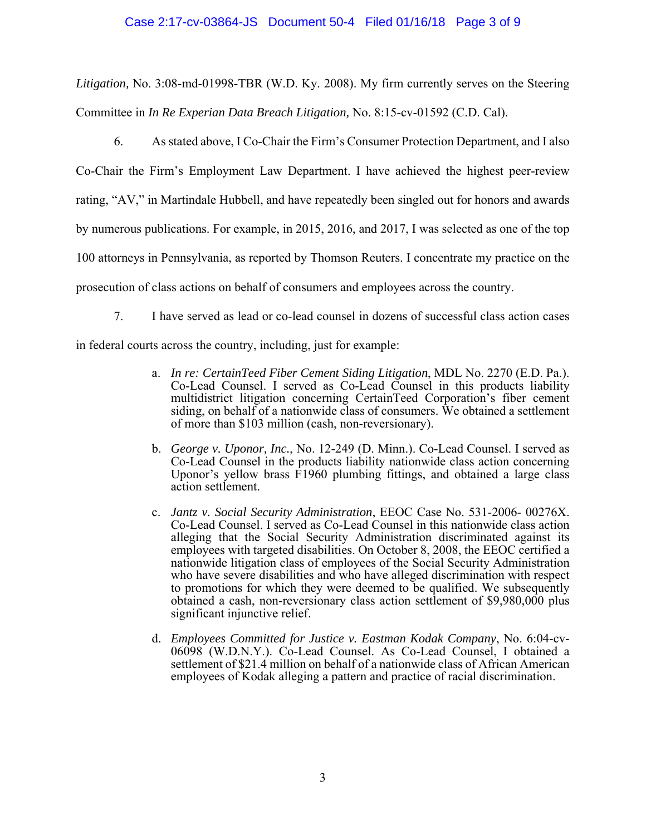### Case 2:17-cv-03864-JS Document 50-4 Filed 01/16/18 Page 3 of 9

*Litigation,* No. 3:08-md-01998-TBR (W.D. Ky. 2008). My firm currently serves on the Steering Committee in *In Re Experian Data Breach Litigation,* No. 8:15-cv-01592 (C.D. Cal).

6. As stated above, I Co-Chair the Firm's Consumer Protection Department, and I also Co-Chair the Firm's Employment Law Department. I have achieved the highest peer-review rating, "AV," in Martindale Hubbell, and have repeatedly been singled out for honors and awards by numerous publications. For example, in 2015, 2016, and 2017, I was selected as one of the top 100 attorneys in Pennsylvania, as reported by Thomson Reuters. I concentrate my practice on the prosecution of class actions on behalf of consumers and employees across the country.

7. I have served as lead or co-lead counsel in dozens of successful class action cases

in federal courts across the country, including, just for example:

- a. *In re: CertainTeed Fiber Cement Siding Litigation*, MDL No. 2270 (E.D. Pa.). Co-Lead Counsel. I served as Co-Lead Counsel in this products liability multidistrict litigation concerning CertainTeed Corporation's fiber cement siding, on behalf of a nationwide class of consumers. We obtained a settlement of more than \$103 million (cash, non-reversionary).
- b. *George v. Uponor, Inc.*, No. 12-249 (D. Minn.). Co-Lead Counsel. I served as Co-Lead Counsel in the products liability nationwide class action concerning Uponor's yellow brass F1960 plumbing fittings, and obtained a large class action settlement.
- c. *Jantz v. Social Security Administration*, EEOC Case No. 531-2006- 00276X. Co-Lead Counsel. I served as Co-Lead Counsel in this nationwide class action alleging that the Social Security Administration discriminated against its employees with targeted disabilities. On October 8, 2008, the EEOC certified a nationwide litigation class of employees of the Social Security Administration who have severe disabilities and who have alleged discrimination with respect to promotions for which they were deemed to be qualified. We subsequently obtained a cash, non-reversionary class action settlement of \$9,980,000 plus significant injunctive relief.
- d. *Employees Committed for Justice v. Eastman Kodak Company*, No. 6:04-cv-06098 (W.D.N.Y.). Co-Lead Counsel. As Co-Lead Counsel, I obtained a settlement of \$21.4 million on behalf of a nationwide class of African American employees of Kodak alleging a pattern and practice of racial discrimination.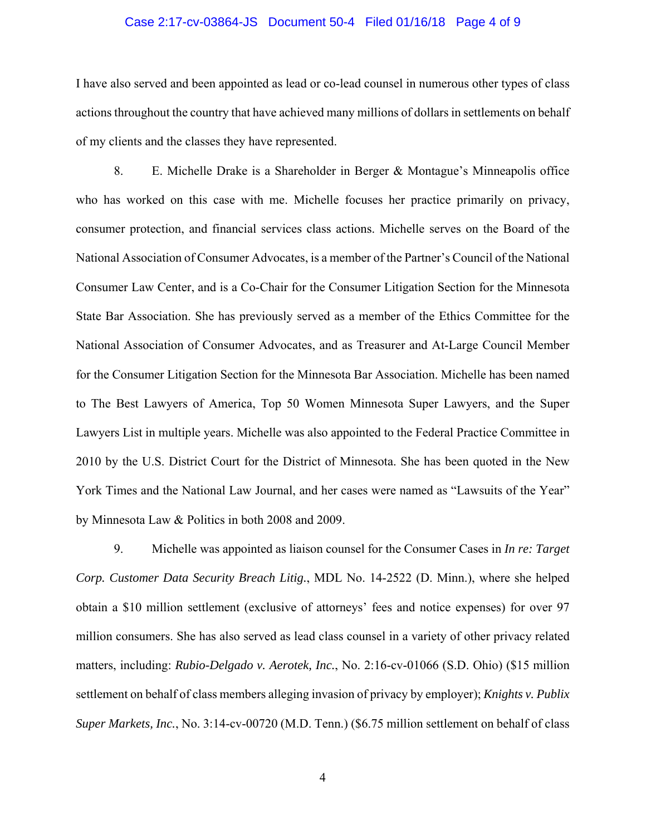#### Case 2:17-cv-03864-JS Document 50-4 Filed 01/16/18 Page 4 of 9

I have also served and been appointed as lead or co-lead counsel in numerous other types of class actions throughout the country that have achieved many millions of dollars in settlements on behalf of my clients and the classes they have represented.

8. E. Michelle Drake is a Shareholder in Berger & Montague's Minneapolis office who has worked on this case with me. Michelle focuses her practice primarily on privacy, consumer protection, and financial services class actions. Michelle serves on the Board of the National Association of Consumer Advocates, is a member of the Partner's Council of the National Consumer Law Center, and is a Co-Chair for the Consumer Litigation Section for the Minnesota State Bar Association. She has previously served as a member of the Ethics Committee for the National Association of Consumer Advocates, and as Treasurer and At-Large Council Member for the Consumer Litigation Section for the Minnesota Bar Association. Michelle has been named to The Best Lawyers of America, Top 50 Women Minnesota Super Lawyers, and the Super Lawyers List in multiple years. Michelle was also appointed to the Federal Practice Committee in 2010 by the U.S. District Court for the District of Minnesota. She has been quoted in the New York Times and the National Law Journal, and her cases were named as "Lawsuits of the Year" by Minnesota Law & Politics in both 2008 and 2009.

9. Michelle was appointed as liaison counsel for the Consumer Cases in *In re: Target Corp. Customer Data Security Breach Litig.*, MDL No. 14-2522 (D. Minn.), where she helped obtain a \$10 million settlement (exclusive of attorneys' fees and notice expenses) for over 97 million consumers. She has also served as lead class counsel in a variety of other privacy related matters, including: *Rubio-Delgado v. Aerotek, Inc.*, No. 2:16-cv-01066 (S.D. Ohio) (\$15 million settlement on behalf of class members alleging invasion of privacy by employer); *Knights v. Publix Super Markets, Inc.*, No. 3:14-cv-00720 (M.D. Tenn.) (\$6.75 million settlement on behalf of class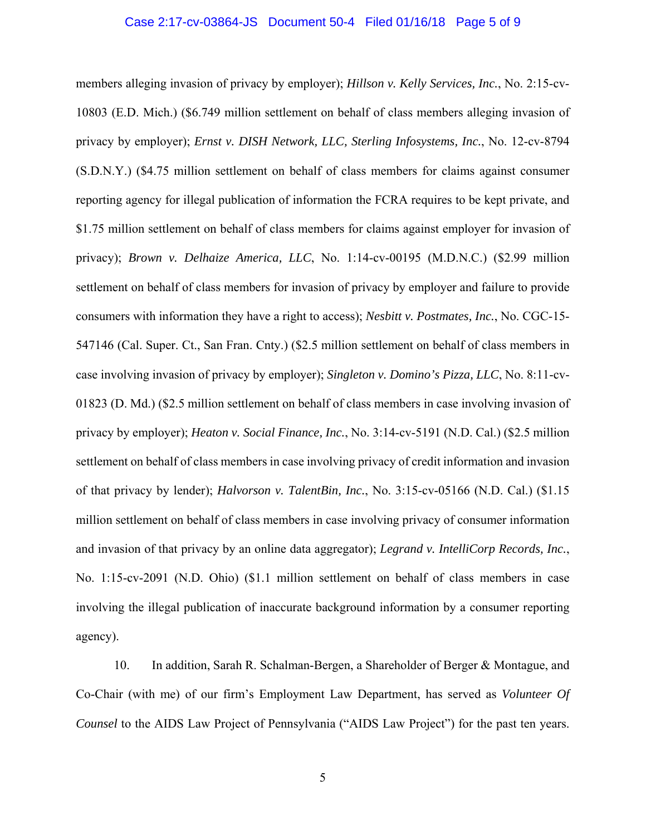#### Case 2:17-cv-03864-JS Document 50-4 Filed 01/16/18 Page 5 of 9

members alleging invasion of privacy by employer); *Hillson v. Kelly Services, Inc.*, No. 2:15-cv-10803 (E.D. Mich.) (\$6.749 million settlement on behalf of class members alleging invasion of privacy by employer); *Ernst v. DISH Network, LLC, Sterling Infosystems, Inc.*, No. 12-cv-8794 (S.D.N.Y.) (\$4.75 million settlement on behalf of class members for claims against consumer reporting agency for illegal publication of information the FCRA requires to be kept private, and \$1.75 million settlement on behalf of class members for claims against employer for invasion of privacy); *Brown v. Delhaize America, LLC*, No. 1:14-cv-00195 (M.D.N.C.) (\$2.99 million settlement on behalf of class members for invasion of privacy by employer and failure to provide consumers with information they have a right to access); *Nesbitt v. Postmates, Inc.*, No. CGC-15- 547146 (Cal. Super. Ct., San Fran. Cnty.) (\$2.5 million settlement on behalf of class members in case involving invasion of privacy by employer); *Singleton v. Domino's Pizza, LLC*, No. 8:11-cv-01823 (D. Md.) (\$2.5 million settlement on behalf of class members in case involving invasion of privacy by employer); *Heaton v. Social Finance, Inc.*, No. 3:14-cv-5191 (N.D. Cal.) (\$2.5 million settlement on behalf of class members in case involving privacy of credit information and invasion of that privacy by lender); *Halvorson v. TalentBin, Inc.*, No. 3:15-cv-05166 (N.D. Cal.) (\$1.15 million settlement on behalf of class members in case involving privacy of consumer information and invasion of that privacy by an online data aggregator); *Legrand v. IntelliCorp Records, Inc.*, No. 1:15-cv-2091 (N.D. Ohio) (\$1.1 million settlement on behalf of class members in case involving the illegal publication of inaccurate background information by a consumer reporting agency).

10. In addition, Sarah R. Schalman-Bergen, a Shareholder of Berger & Montague, and Co-Chair (with me) of our firm's Employment Law Department, has served as *Volunteer Of Counsel* to the AIDS Law Project of Pennsylvania ("AIDS Law Project") for the past ten years.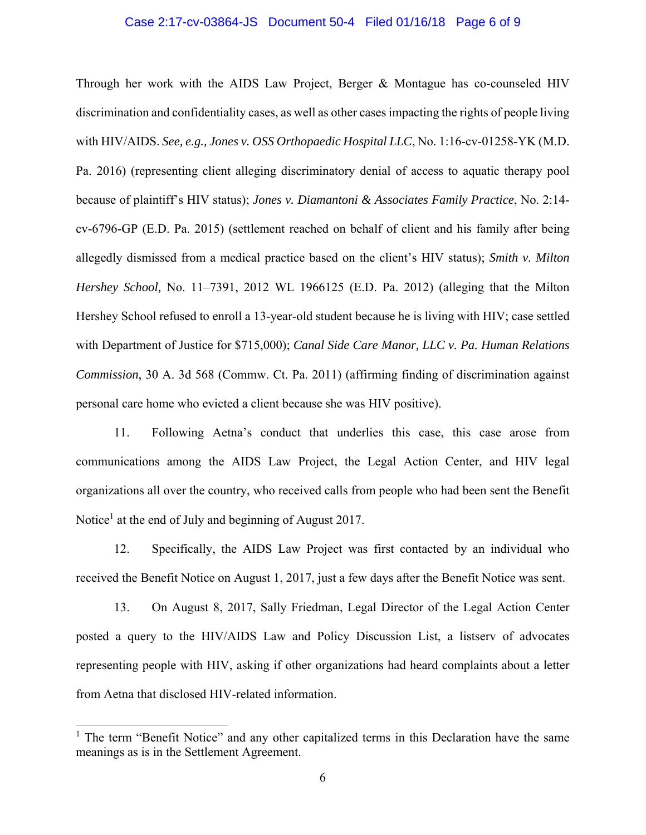#### Case 2:17-cv-03864-JS Document 50-4 Filed 01/16/18 Page 6 of 9

Through her work with the AIDS Law Project, Berger & Montague has co-counseled HIV discrimination and confidentiality cases, as well as other cases impacting the rights of people living with HIV/AIDS. *See, e.g., Jones v. OSS Orthopaedic Hospital LLC*, No. 1:16-cv-01258-YK (M.D. Pa. 2016) (representing client alleging discriminatory denial of access to aquatic therapy pool because of plaintiff's HIV status); *Jones v. Diamantoni & Associates Family Practice*, No. 2:14 cv-6796-GP (E.D. Pa. 2015) (settlement reached on behalf of client and his family after being allegedly dismissed from a medical practice based on the client's HIV status); *Smith v. Milton Hershey School,* No. 11–7391, 2012 WL 1966125 (E.D. Pa. 2012) (alleging that the Milton Hershey School refused to enroll a 13-year-old student because he is living with HIV; case settled with Department of Justice for \$715,000); *Canal Side Care Manor, LLC v. Pa. Human Relations Commission*, 30 A. 3d 568 (Commw. Ct. Pa. 2011) (affirming finding of discrimination against personal care home who evicted a client because she was HIV positive).

11. Following Aetna's conduct that underlies this case, this case arose from communications among the AIDS Law Project, the Legal Action Center, and HIV legal organizations all over the country, who received calls from people who had been sent the Benefit Notice<sup>1</sup> at the end of July and beginning of August 2017.

12. Specifically, the AIDS Law Project was first contacted by an individual who received the Benefit Notice on August 1, 2017, just a few days after the Benefit Notice was sent.

13. On August 8, 2017, Sally Friedman, Legal Director of the Legal Action Center posted a query to the HIV/AIDS Law and Policy Discussion List, a listserv of advocates representing people with HIV, asking if other organizations had heard complaints about a letter from Aetna that disclosed HIV-related information.

 $\overline{a}$ 

<sup>&</sup>lt;sup>1</sup> The term "Benefit Notice" and any other capitalized terms in this Declaration have the same meanings as is in the Settlement Agreement.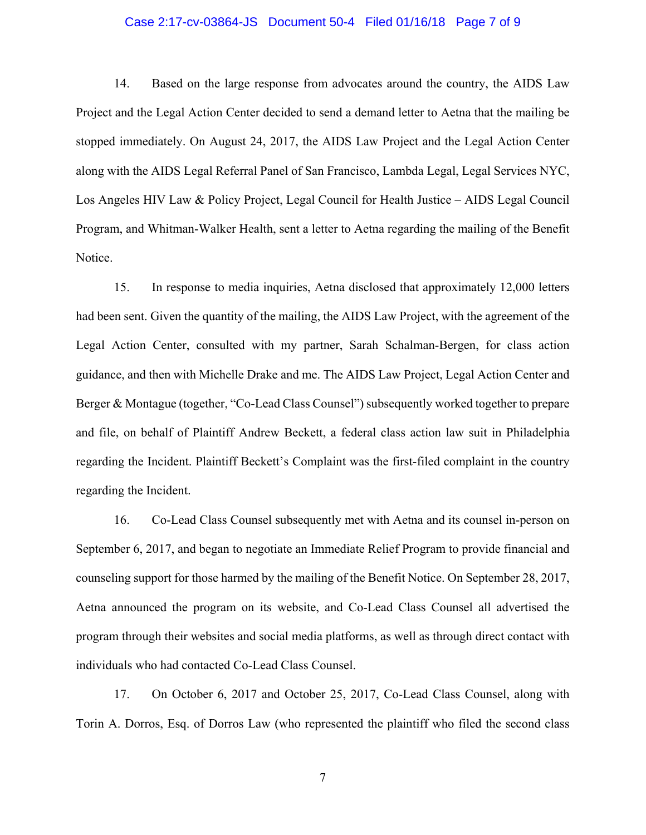### Case 2:17-cv-03864-JS Document 50-4 Filed 01/16/18 Page 7 of 9

14. Based on the large response from advocates around the country, the AIDS Law Project and the Legal Action Center decided to send a demand letter to Aetna that the mailing be stopped immediately. On August 24, 2017, the AIDS Law Project and the Legal Action Center along with the AIDS Legal Referral Panel of San Francisco, Lambda Legal, Legal Services NYC, Los Angeles HIV Law & Policy Project, Legal Council for Health Justice – AIDS Legal Council Program, and Whitman-Walker Health, sent a letter to Aetna regarding the mailing of the Benefit Notice.

15. In response to media inquiries, Aetna disclosed that approximately 12,000 letters had been sent. Given the quantity of the mailing, the AIDS Law Project, with the agreement of the Legal Action Center, consulted with my partner, Sarah Schalman-Bergen, for class action guidance, and then with Michelle Drake and me. The AIDS Law Project, Legal Action Center and Berger & Montague (together, "Co-Lead Class Counsel") subsequently worked together to prepare and file, on behalf of Plaintiff Andrew Beckett, a federal class action law suit in Philadelphia regarding the Incident. Plaintiff Beckett's Complaint was the first-filed complaint in the country regarding the Incident.

16. Co-Lead Class Counsel subsequently met with Aetna and its counsel in-person on September 6, 2017, and began to negotiate an Immediate Relief Program to provide financial and counseling support for those harmed by the mailing of the Benefit Notice. On September 28, 2017, Aetna announced the program on its website, and Co-Lead Class Counsel all advertised the program through their websites and social media platforms, as well as through direct contact with individuals who had contacted Co-Lead Class Counsel.

17. On October 6, 2017 and October 25, 2017, Co-Lead Class Counsel, along with Torin A. Dorros, Esq. of Dorros Law (who represented the plaintiff who filed the second class

7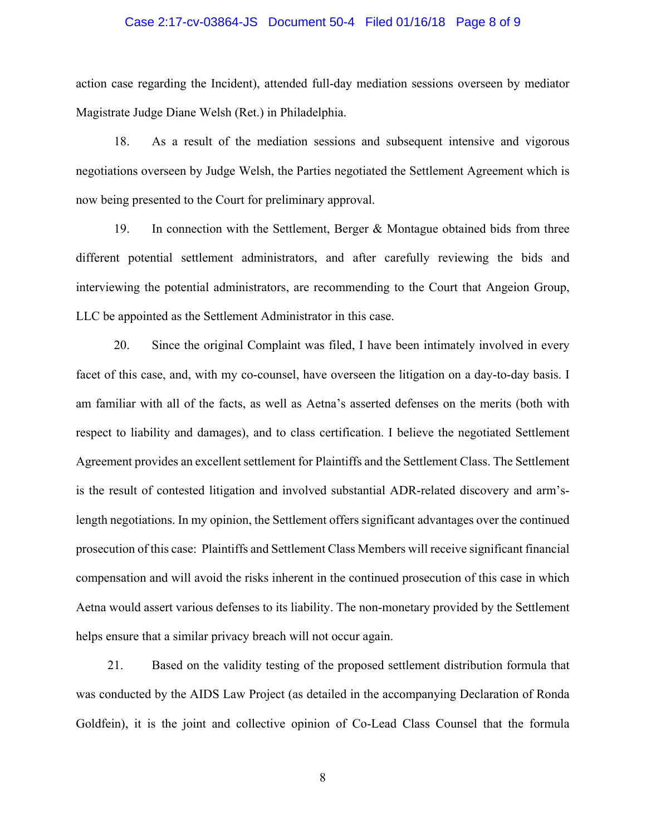#### Case 2:17-cv-03864-JS Document 50-4 Filed 01/16/18 Page 8 of 9

action case regarding the Incident), attended full-day mediation sessions overseen by mediator Magistrate Judge Diane Welsh (Ret.) in Philadelphia.

18. As a result of the mediation sessions and subsequent intensive and vigorous negotiations overseen by Judge Welsh, the Parties negotiated the Settlement Agreement which is now being presented to the Court for preliminary approval.

19. In connection with the Settlement, Berger & Montague obtained bids from three different potential settlement administrators, and after carefully reviewing the bids and interviewing the potential administrators, are recommending to the Court that Angeion Group, LLC be appointed as the Settlement Administrator in this case.

20. Since the original Complaint was filed, I have been intimately involved in every facet of this case, and, with my co-counsel, have overseen the litigation on a day-to-day basis. I am familiar with all of the facts, as well as Aetna's asserted defenses on the merits (both with respect to liability and damages), and to class certification. I believe the negotiated Settlement Agreement provides an excellent settlement for Plaintiffs and the Settlement Class. The Settlement is the result of contested litigation and involved substantial ADR-related discovery and arm'slength negotiations. In my opinion, the Settlement offers significant advantages over the continued prosecution of this case: Plaintiffs and Settlement Class Members will receive significant financial compensation and will avoid the risks inherent in the continued prosecution of this case in which Aetna would assert various defenses to its liability. The non-monetary provided by the Settlement helps ensure that a similar privacy breach will not occur again.

21. Based on the validity testing of the proposed settlement distribution formula that was conducted by the AIDS Law Project (as detailed in the accompanying Declaration of Ronda Goldfein), it is the joint and collective opinion of Co-Lead Class Counsel that the formula

8